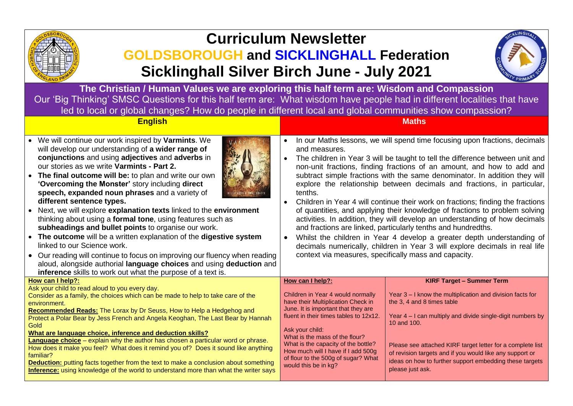

# **Curriculum Newsletter**

## **GOLDSBOROUGH and SICKLINGHALL Federation Sicklinghall Silver Birch June - July 2021**



**The Christian / Human Values we are exploring this half term are: Wisdom and Compassion** Our 'Big Thinking' SMSC Questions for this half term are: What wisdom have people had in different localities that have led to local or global changes? How do people in different local and global communities show compassion?

| <b>English</b> | <b>Maths</b> |
|----------------|--------------|
|                |              |

• We will continue our work inspired by **Varmints**. We will develop our understanding of **a wider range of conjunctions** and using **adjectives** and **adverbs** in our stories as we write **Varmints - Part 2.**



- **The final outcome will be:** to plan and write our own **'Overcoming the Monster'** story including **direct speech, expanded noun phrases** and a variety of **different sentence types.**
- Next, we will explore **explanation texts** linked to the **environment** thinking about using a **formal tone**, using features such as **subheadings and bullet points** to organise our work.
- **The outcome** will be a written explanation of the **digestive system** linked to our Science work.
- Our reading will continue to focus on improving our fluency when reading aloud, alongside authorial **language choices** and using **deduction** and **inference** skills to work out what the purpose of a text is.

### In our Maths lessons, we will spend time focusing upon fractions, decimals and measures.

- The children in Year 3 will be taught to tell the difference between unit and non-unit fractions, finding fractions of an amount, and how to add and subtract simple fractions with the same denominator. In addition they will explore the relationship between decimals and fractions, in particular, tenths.
- Children in Year 4 will continue their work on fractions; finding the fractions of quantities, and applying their knowledge of fractions to problem solving activities. In addition, they will develop an understanding of how decimals and fractions are linked, particularly tenths and hundredths.
- Whilst the children in Year 4 develop a greater depth understanding of decimals numerically, children in Year 3 will explore decimals in real life context via measures, specifically mass and capacity.

| <b>THE EILE</b> SAIDS to WOLK OUT WILD THE PUIDOSE OF A TEXT IS.                                                                                                                                                                                                                                                                                                                         |                                                                                                                                                                            |                                                                                                                                                                                                       |
|------------------------------------------------------------------------------------------------------------------------------------------------------------------------------------------------------------------------------------------------------------------------------------------------------------------------------------------------------------------------------------------|----------------------------------------------------------------------------------------------------------------------------------------------------------------------------|-------------------------------------------------------------------------------------------------------------------------------------------------------------------------------------------------------|
| How can I help?:                                                                                                                                                                                                                                                                                                                                                                         | How can I help?:                                                                                                                                                           | <b>KIRF Target - Summer Term</b>                                                                                                                                                                      |
| Ask your child to read aloud to you every day.<br>Consider as a family, the choices which can be made to help to take care of the<br>environment.<br><b>Recommended Reads:</b> The Lorax by Dr Seuss, How to Help a Hedgehog and                                                                                                                                                         | Children in Year 4 would normally<br>have their Multiplication Check in<br>June. It is important that they are                                                             | Year 3 – I know the multiplication and division facts for<br>the 3, 4 and 8 times table                                                                                                               |
| Protect a Polar Bear by Jess French and Angela Keoghan, The Last Bear by Hannah<br>Gold<br>What are language choice, inference and deduction skills?                                                                                                                                                                                                                                     | fluent in their times tables to 12x12.<br>Ask your child:                                                                                                                  | Year 4 – I can multiply and divide single-digit numbers by<br>10 and 100.                                                                                                                             |
| <b>Language choice</b> – explain why the author has chosen a particular word or phrase.<br>How does it make you feel? What does it remind you of? Does it sound like anything<br>familiar?<br><b>Deduction:</b> putting facts together from the text to make a conclusion about something<br><b>Inference:</b> using knowledge of the world to understand more than what the writer says | What is the mass of the flour?<br>What is the capacity of the bottle?<br>How much will I have if I add 500g<br>of flour to the 500g of sugar? What<br>would this be in kg? | Please see attached KIRF target letter for a complete list<br>of revision targets and if you would like any support or<br>ideas on how to further support embedding these targets<br>please just ask. |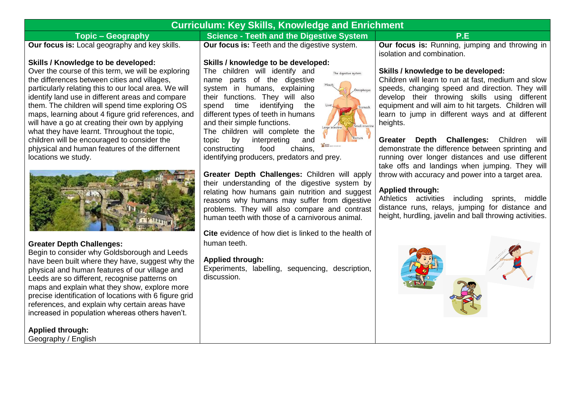| <b>Curriculum: Key Skills, Knowledge and Enrichment</b> |                                                            |                                                       |  |
|---------------------------------------------------------|------------------------------------------------------------|-------------------------------------------------------|--|
| Topic – Geography                                       | Science - Teeth and the Digestive System                   | P.E                                                   |  |
| <b>Our focus is:</b> Local geography and key skills.    | <sup>1</sup> Our focus is: Teeth and the digestive system. | <b>Our focus is:</b> Running, jumping and throwing in |  |

#### **Skills / Knowledge to be developed:**

Over the course of this term, we will be exploring the differences between cities and villages, particularly relating this to our local area. We will identify land use in different areas and compare them. The children will spend time exploring OS maps, learning about 4 figure grid references, and will have a go at creating their own by applying what they have learnt. Throughout the topic, children will be encouraged to consider the phjysical and human features of the differnent locations we study.



### **Greater Depth Challenges:**

Begin to consider why Goldsborough and Leeds have been built where they have, suggest why the physical and human features of our village and Leeds are so different, recognise patterns on maps and explain what they show, explore more precise identification of locations with 6 figure grid references, and explain why certain areas have increased in population whereas others haven't.

### **Applied through:**

Geography / English

### **Skills / knowledge to be developed:**

The children will identify and name parts of the digestive system in humans, explaining their functions. They will also spend time identifying the different types of teeth in humans and their simple functions.

The children will complete the topic by interpreting and constructing food chains,

identifying producers, predators and prey.

**Greater Depth Challenges:** Children will apply their understanding of the digestive system by relating how humans gain nutrition and suggest reasons why humans may suffer from digestive problems. They will also compare and contrast human teeth with those of a carnivorous animal.

**Cite** evidence of how diet is linked to the health of human teeth.

### **Applied through:**

Experiments, labelling, sequencing, description, discussion.

isolation and combination.

#### **Skills / knowledge to be developed:**

Children will learn to run at fast, medium and slow speeds, changing speed and direction. They will develop their throwing skills using different equipment and will aim to hit targets. Children will learn to jump in different ways and at different heights.

**Greater Depth Challenges:** Children will demonstrate the difference between sprinting and running over longer distances and use different take offs and landings when jumping. They will throw with accuracy and power into a target area.

### **Applied through:**

Athletics activities including sprints, middle distance runs, relays, jumping for distance and height, hurdling, javelin and ball throwing activities.



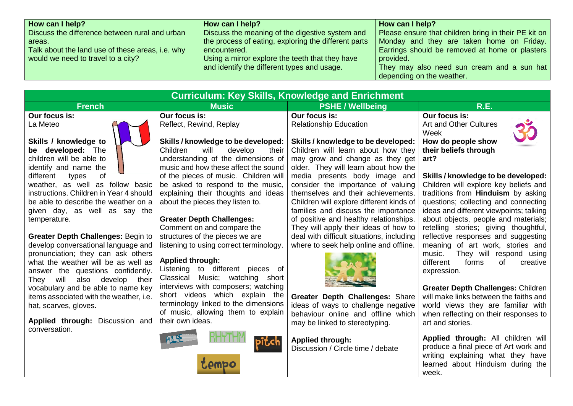| How can I help?                                  | How can I help?                                      | How can I help?                                      |
|--------------------------------------------------|------------------------------------------------------|------------------------------------------------------|
| Discuss the difference between rural and urban   | Discuss the meaning of the digestive system and      | Please ensure that children bring in their PE kit on |
| areas.                                           | the process of eating, exploring the different parts | Monday and they are taken home on Friday.            |
| Talk about the land use of these areas, i.e. why | encountered.                                         | Earrings should be removed at home or plasters       |
| would we need to travel to a city?               | Using a mirror explore the teeth that they have      | provided.                                            |
|                                                  | and identify the different types and usage.          | They may also need sun cream and a sun hat           |
|                                                  |                                                      | depending on the weather.                            |

| <b>Curriculum: Key Skills, Knowledge and Enrichment</b>                                                                                                                                                                                                                                                                                                                                      |                                                                                                                                                                                                                                                                                |                                                                                                                                                                                                                                                                   |                                                                                                                                                                                                                  |  |
|----------------------------------------------------------------------------------------------------------------------------------------------------------------------------------------------------------------------------------------------------------------------------------------------------------------------------------------------------------------------------------------------|--------------------------------------------------------------------------------------------------------------------------------------------------------------------------------------------------------------------------------------------------------------------------------|-------------------------------------------------------------------------------------------------------------------------------------------------------------------------------------------------------------------------------------------------------------------|------------------------------------------------------------------------------------------------------------------------------------------------------------------------------------------------------------------|--|
| <b>French</b>                                                                                                                                                                                                                                                                                                                                                                                | <b>Music</b>                                                                                                                                                                                                                                                                   | <b>PSHE / Wellbeing</b>                                                                                                                                                                                                                                           | R.E.                                                                                                                                                                                                             |  |
| Our focus is:<br>Our focus is:<br>Reflect, Rewind, Replay<br>La Meteo                                                                                                                                                                                                                                                                                                                        |                                                                                                                                                                                                                                                                                | Our focus is:<br><b>Relationship Education</b>                                                                                                                                                                                                                    | Our focus is:<br>Art and Other Cultures<br>Week                                                                                                                                                                  |  |
| Skills / knowledge to<br>be developed: The<br>children will be able to<br>identify and name the<br>of<br>different<br>types<br>weather, as well as follow basic<br>instructions. Children in Year 4 should                                                                                                                                                                                   | Skills / knowledge to be developed:<br>Children<br>will<br>develop<br>their<br>understanding of the dimensions of<br>music and how these affect the sound<br>of the pieces of music. Children will<br>be asked to respond to the music,<br>explaining their thoughts and ideas | Skills / knowledge to be developed:<br>Children will learn about how they<br>may grow and change as they get<br>older. They will learn about how the<br>media presents body image and<br>consider the importance of valuing<br>themselves and their achievements. | How do people show<br>their beliefs through<br>art?<br>Skills / knowledge to be developed:<br>Children will explore key beliefs and<br>traditions from <b>Hinduism</b> by asking                                 |  |
| be able to describe the weather on a<br>given day, as well as say the<br>temperature.                                                                                                                                                                                                                                                                                                        | about the pieces they listen to.<br><b>Greater Depth Challenges:</b><br>Comment on and compare the                                                                                                                                                                             | Children will explore different kinds of<br>families and discuss the importance<br>of positive and healthy relationships.<br>They will apply their ideas of how to                                                                                                | questions; collecting and connecting<br>ideas and different viewpoints; talking<br>about objects, people and materials;<br>retelling stories; giving thoughtful,                                                 |  |
| Greater Depth Challenges: Begin to<br>develop conversational language and<br>pronunciation; they can ask others<br>what the weather will be as well as<br>answer the questions confidently.<br>also develop their<br>They will<br>vocabulary and be able to name key<br>items associated with the weather, i.e.<br>hat, scarves, gloves.<br>Applied through: Discussion and<br>conversation. | structures of the pieces we are<br>listening to using correct terminology.<br><b>Applied through:</b><br>Listening to different pieces of<br>Music; watching short<br>Classical<br>interviews with composers; watching                                                         | deal with difficult situations, including<br>where to seek help online and offline.                                                                                                                                                                               | reflective responses and suggesting<br>meaning of art work, stories and<br>They will respond using<br>music.<br>different<br>forms<br>of<br>creative<br>expression.<br><b>Greater Depth Challenges: Children</b> |  |
|                                                                                                                                                                                                                                                                                                                                                                                              | short videos which explain the<br>terminology linked to the dimensions<br>of music, allowing them to explain<br>their own ideas.                                                                                                                                               | Greater Depth Challenges: Share<br>ideas of ways to challenge negative<br>behaviour online and offline which<br>may be linked to stereotyping.                                                                                                                    | will make links between the faiths and<br>world views they are familiar with<br>when reflecting on their responses to<br>art and stories.                                                                        |  |
|                                                                                                                                                                                                                                                                                                                                                                                              |                                                                                                                                                                                                                                                                                | <b>Applied through:</b><br>Discussion / Circle time / debate                                                                                                                                                                                                      | Applied through: All children will<br>produce a final piece of Art work and<br>writing explaining what they have<br>learned about Hinduism during the<br>week.                                                   |  |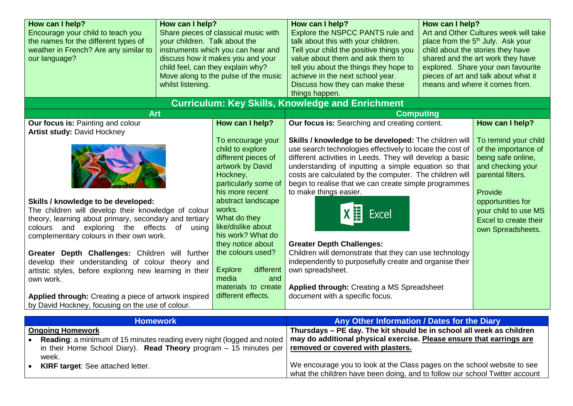| How can I help?<br>Encourage your child to teach you<br>the names for the different types of<br>weather in French? Are any similar to<br>our language?                                                                                                                      | How can I help?<br>your children. Talk about the<br>whilst listening. | Share pieces of classical music with<br>instruments which you can hear and<br>discuss how it makes you and your<br>child feel, can they explain why?<br>Move along to the pulse of the music                                                                                                                                                                             | How can I help?<br>Explore the NSPCC PANTS rule and<br>talk about this with your children.<br>Tell your child the positive things you<br>value about them and ask them to<br>tell you about the things they hope to<br>achieve in the next school year.<br>Discuss how they can make these<br>things happen.                                                                                                                                                                                                                                                                                                                                                       | How can I help? | Art and Other Cultures week will take<br>place from the 5 <sup>th</sup> July. Ask your<br>child about the stories they have<br>shared and the art work they have<br>explored. Share your own favourite<br>pieces of art and talk about what it<br>means and where it comes from. |
|-----------------------------------------------------------------------------------------------------------------------------------------------------------------------------------------------------------------------------------------------------------------------------|-----------------------------------------------------------------------|--------------------------------------------------------------------------------------------------------------------------------------------------------------------------------------------------------------------------------------------------------------------------------------------------------------------------------------------------------------------------|--------------------------------------------------------------------------------------------------------------------------------------------------------------------------------------------------------------------------------------------------------------------------------------------------------------------------------------------------------------------------------------------------------------------------------------------------------------------------------------------------------------------------------------------------------------------------------------------------------------------------------------------------------------------|-----------------|----------------------------------------------------------------------------------------------------------------------------------------------------------------------------------------------------------------------------------------------------------------------------------|
| <b>Curriculum: Key Skills, Knowledge and Enrichment</b>                                                                                                                                                                                                                     |                                                                       |                                                                                                                                                                                                                                                                                                                                                                          |                                                                                                                                                                                                                                                                                                                                                                                                                                                                                                                                                                                                                                                                    |                 |                                                                                                                                                                                                                                                                                  |
| <b>Art</b><br>Our focus is: Painting and colour<br><b>Artist study: David Hockney</b>                                                                                                                                                                                       |                                                                       | How can I help?                                                                                                                                                                                                                                                                                                                                                          | <b>Computing</b><br>Our focus is: Searching and creating content.                                                                                                                                                                                                                                                                                                                                                                                                                                                                                                                                                                                                  |                 | How can I help?                                                                                                                                                                                                                                                                  |
| Skills / knowledge to be developed:<br>The children will develop their knowledge of colour<br>theory, learning about primary, secondary and tertiary<br>colours and exploring the effects of using<br>complementary colours in their own work.<br>own work.                 |                                                                       | To encourage your<br>child to explore<br>different pieces of<br>artwork by David<br>Hockney,<br>particularly some of<br>his more recent<br>abstract landscape<br>works.<br>What do they<br>like/dislike about<br>his work? What do<br>they notice about<br>the colours used?<br><b>Explore</b><br>different<br>media<br>and<br>materials to create<br>different effects. | Skills / knowledge to be developed: The children will<br>use search technologies effectively to locate the cost of<br>different activities in Leeds. They will develop a basic<br>understanding of inputting a simple equation so that<br>costs are calculated by the computer. The children will<br>begin to realise that we can create simple programmes<br>to make things easier.<br>Excel<br><b>Greater Depth Challenges:</b><br>Children will demonstrate that they can use technology<br>independently to purposefully create and organise their<br>own spreadsheet.<br><b>Applied through: Creating a MS Spreadsheet</b><br>document with a specific focus. |                 | To remind your child<br>of the importance of<br>being safe online,<br>and checking your<br>parental filters.<br>Provide<br>opportunities for<br>your child to use MS<br>Excel to create their<br>own Spreadsheets.                                                               |
| <b>Homework</b>                                                                                                                                                                                                                                                             |                                                                       |                                                                                                                                                                                                                                                                                                                                                                          | Any Other Information / Dates for the Diary                                                                                                                                                                                                                                                                                                                                                                                                                                                                                                                                                                                                                        |                 |                                                                                                                                                                                                                                                                                  |
| Greater Depth Challenges: Children will further<br>develop their understanding of colour theory and<br>artistic styles, before exploring new learning in their<br>Applied through: Creating a piece of artwork inspired<br>by David Hockney, focusing on the use of colour. |                                                                       |                                                                                                                                                                                                                                                                                                                                                                          |                                                                                                                                                                                                                                                                                                                                                                                                                                                                                                                                                                                                                                                                    |                 |                                                                                                                                                                                                                                                                                  |

|                                                                               | <b>TUTTGWUIN</b>                                                   | Ally Other Information / Dates for the Diary                                |
|-------------------------------------------------------------------------------|--------------------------------------------------------------------|-----------------------------------------------------------------------------|
|                                                                               | <b>Ongoing Homework</b>                                            | Thursdays – PE day. The kit should be in school all week as children        |
| <b>Reading:</b> a minimum of 15 minutes reading every night (logged and noted |                                                                    | may do additional physical exercise. Please ensure that earrings are        |
|                                                                               | in their Home School Diary). Read Theory program $-15$ minutes per | removed or covered with plasters.                                           |
|                                                                               | week.                                                              |                                                                             |
|                                                                               | <b>KIRF target:</b> See attached letter.                           | We encourage you to look at the Class pages on the school website to see    |
|                                                                               |                                                                    | what the children have been doing, and to follow our school Twitter account |